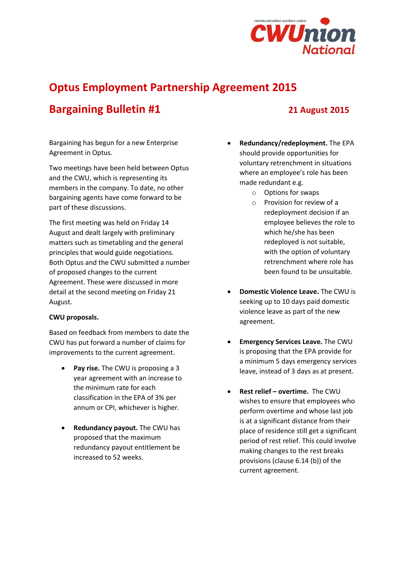

# **Optus Employment Partnership Agreement 2015**

# **Bargaining Bulletin #1 21 August 2015**

Bargaining has begun for a new Enterprise Agreement in Optus.

Two meetings have been held between Optus and the CWU, which is representing its members in the company. To date, no other bargaining agents have come forward to be part of these discussions.

The first meeting was held on Friday 14 August and dealt largely with preliminary matters such as timetabling and the general principles that would guide negotiations. Both Optus and the CWU submitted a number of proposed changes to the current Agreement. These were discussed in more detail at the second meeting on Friday 21 August.

## **CWU proposals.**

Based on feedback from members to date the CWU has put forward a number of claims for improvements to the current agreement.

- **Pay rise.** The CWU is proposing a 3 year agreement with an increase to the minimum rate for each classification in the EPA of 3% per annum or CPI, whichever is higher.
- **Redundancy payout.** The CWU has proposed that the maximum redundancy payout entitlement be increased to 52 weeks.
- **Redundancy/redeployment.** The EPA should provide opportunities for voluntary retrenchment in situations where an employee's role has been made redundant e.g.
	- o Options for swaps
	- o Provision for review of a redeployment decision if an employee believes the role to which he/she has been redeployed is not suitable, with the option of voluntary retrenchment where role has been found to be unsuitable.
- **Domestic Violence Leave.** The CWU is seeking up to 10 days paid domestic violence leave as part of the new agreement.
- **Emergency Services Leave.** The CWU is proposing that the EPA provide for a minimum 5 days emergency services leave, instead of 3 days as at present.
- **Rest relief – overtime.** The CWU wishes to ensure that employees who perform overtime and whose last job is at a significant distance from their place of residence still get a significant period of rest relief. This could involve making changes to the rest breaks provisions (clause 6.14 (b)) of the current agreement.